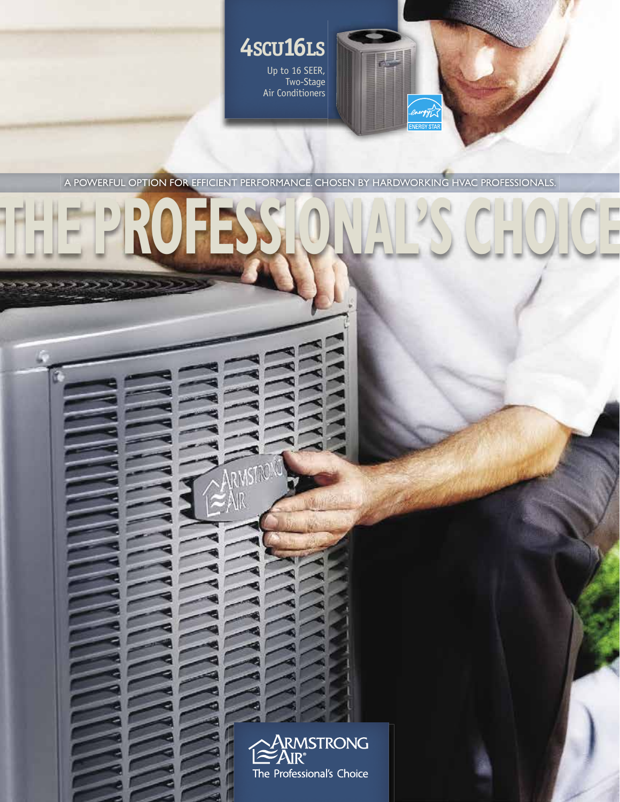

A POWERFUL OPTION FOR EFFICIENT PERFORMANCE. CHOSEN BY HARDWORKING HVAC PROFESSIONALS.

**THE PROFESSIONAL'S CHOICE**

**MSTRONG** 

ב וכוכל כל

 $\mathcal{L} = \{ \mathcal{L} \mid \mathcal{L} \in \mathcal{L} \text{ and } \mathcal{L} \in \mathcal{L} \}$ 

n Sir

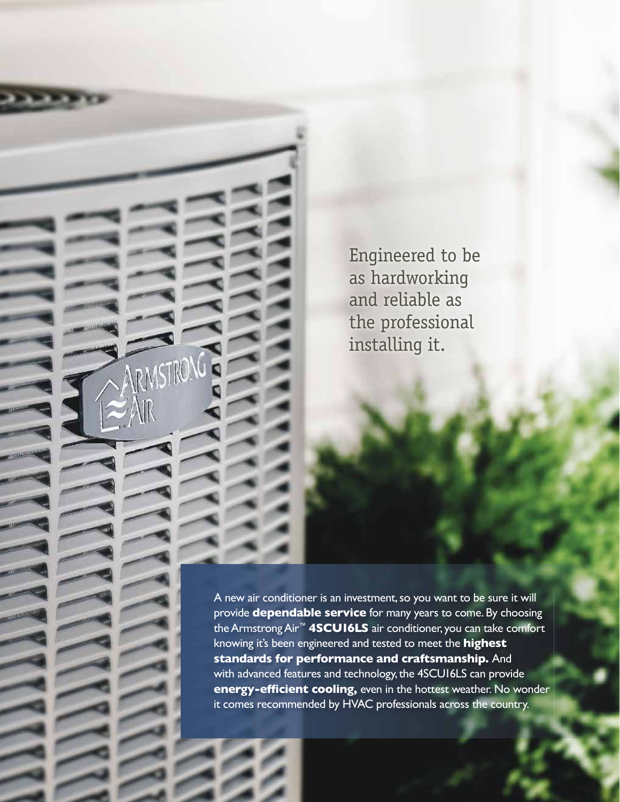Engineered to be as hardworking and reliable as the professional installing it.

RMSTRO

A new air conditioner is an investment, so you want to be sure it will provide **dependable service** for many years to come. By choosing the Armstrong Air™ **4SCU16LS** air conditioner, you can take comfort knowing it's been engineered and tested to meet the **highest standards for performance and craftsmanship.** And with advanced features and technology, the 4SCU16LS can provide **energy-efficient cooling,** even in the hottest weather. No wonder it comes recommended by HVAC professionals across the country.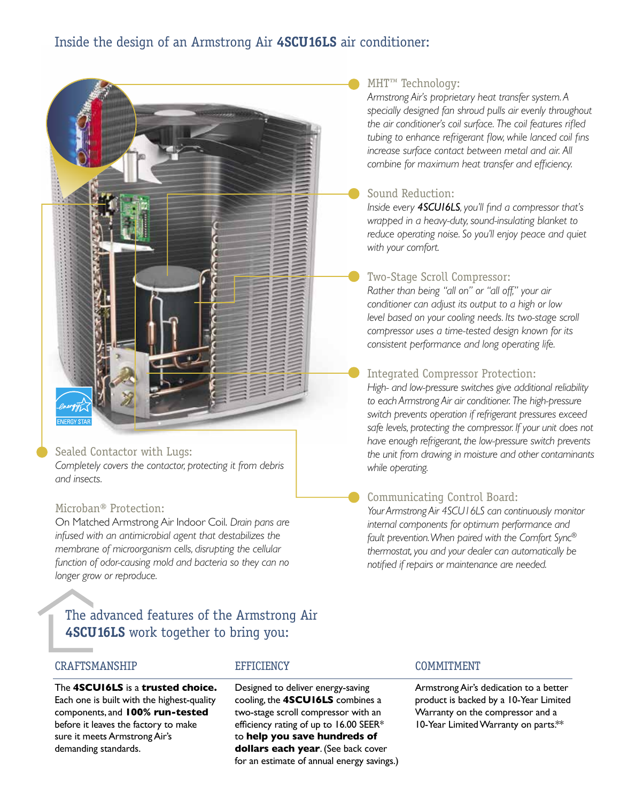# Inside the design of an Armstrong Air **4SCU16LS** air conditioner:



# Sealed Contactor with Lugs:

*Completely covers the contactor, protecting it from debris and insects.* 

# Microban® Protection:

On Matched Armstrong Air Indoor Coil. *Drain pans are infused with an antimicrobial agent that destabilizes the membrane of microorganism cells, disrupting the cellular function of odor-causing mold and bacteria so they can no longer grow or reproduce.*

# The advanced features of the Armstrong Air **4SCU16LS** work together to bring you:

### CRAFTSMANSHIP

The **4SCU16LS** is a **trusted choice.** Each one is built with the highest-quality components, and **100% run-tested** before it leaves the factory to make sure it meets Armstrong Air's demanding standards.

### **EFFICIENCY**

Designed to deliver energy-saving cooling, the **4SCU16LS** combines a two-stage scroll compressor with an efficiency rating of up to  $16.00$  SEER\* to **help you save hundreds of dollars each year**. (See back cover for an estimate of annual energy savings.)

## MHT™ Technology:

*Armstrong Air's proprietary heat transfer system. A specially designed fan shroud pulls air evenly throughout*  the air conditioner's coil surface. The coil features rifled tubing to enhance refrigerant flow, while lanced coil fins *increase surface contact between metal and air. All combine for maximum heat transfer and efficiency.* 

## Sound Reduction:

*Inside every 4SCU16LS*, you'll find a compressor that's *wrapped in a heavy-duty, sound-insulating blanket to reduce operating noise. So you'll enjoy peace and quiet with your comfort.*

## Two-Stage Scroll Compressor:

*Rather than being "all on" or "all off," your air conditioner can adjust its output to a high or low level based on your cooling needs. Its two-stage scroll compressor uses a time-tested design known for its consistent performance and long operating life.*

# Integrated Compressor Protection:

*High- and low-pressure switches give additional reliability to each Armstrong Air air conditioner. The high-pressure switch prevents operation if refrigerant pressures exceed safe levels, protecting the compressor. If your unit does not have enough refrigerant, the low-pressure switch prevents the unit from drawing in moisture and other contaminants while operating.*

#### Communicating Control Board:

*Your Armstrong Air 4SCU16LS can continuously monitor internal components for optimum performance and fault prevention. When paired with the Comfort Sync® thermostat, you and your dealer can automatically be notifi ed if repairs or maintenance are needed.*

#### COMMITMENT

Armstrong Air's dedication to a better product is backed by a 10-Year Limited Warranty on the compressor and a 10-Year Limited Warranty on parts.\*\*